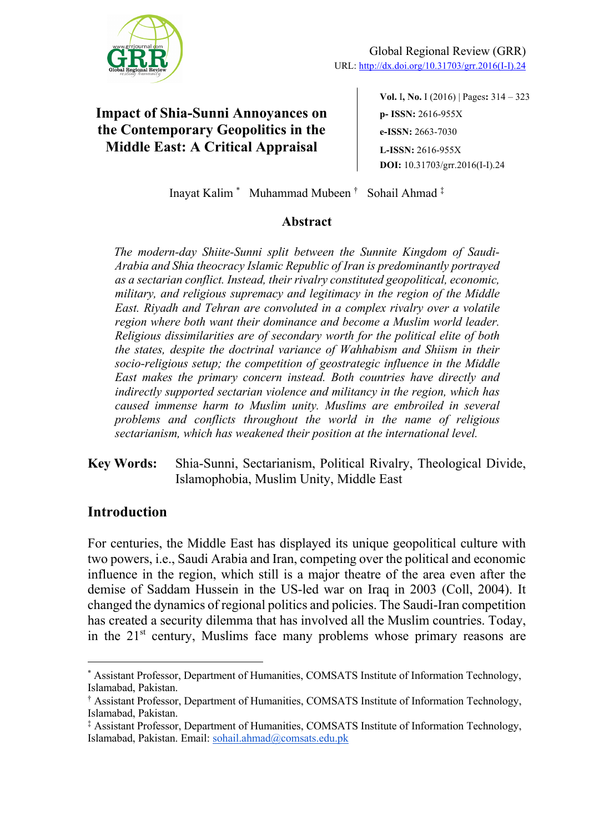

**Vol.** I**, No.** I (2016) | Pages**:** 314 ‒ 323 **p- ISSN:** 2616-955X **e-ISSN:** 2663-7030 **L-ISSN:** 2616-955X **DOI:** 10.31703/grr.2016(I-I).24

Inayat Kalim \* Muhammad Mubeen † Sohail Ahmad ‡

### **Abstract**

*The modern-day Shiite-Sunni split between the Sunnite Kingdom of Saudi-Arabia and Shia theocracy Islamic Republic of Iran is predominantly portrayed as a sectarian conflict. Instead, their rivalry constituted geopolitical, economic, military, and religious supremacy and legitimacy in the region of the Middle East. Riyadh and Tehran are convoluted in a complex rivalry over a volatile region where both want their dominance and become a Muslim world leader. Religious dissimilarities are of secondary worth for the political elite of both the states, despite the doctrinal variance of Wahhabism and Shiism in their socio-religious setup; the competition of geostrategic influence in the Middle East makes the primary concern instead. Both countries have directly and indirectly supported sectarian violence and militancy in the region, which has caused immense harm to Muslim unity. Muslims are embroiled in several problems and conflicts throughout the world in the name of religious sectarianism, which has weakened their position at the international level.*

**Key Words:** Shia-Sunni, Sectarianism, Political Rivalry, Theological Divide, Islamophobia, Muslim Unity, Middle East

## **Introduction**

For centuries, the Middle East has displayed its unique geopolitical culture with two powers, i.e., Saudi Arabia and Iran, competing over the political and economic influence in the region, which still is a major theatre of the area even after the demise of Saddam Hussein in the US-led war on Iraq in 2003 (Coll, 2004). It changed the dynamics of regional politics and policies. The Saudi-Iran competition has created a security dilemma that has involved all the Muslim countries. Today, in the  $21<sup>st</sup>$  century, Muslims face many problems whose primary reasons are

<sup>\*</sup> Assistant Professor, Department of Humanities, COMSATS Institute of Information Technology, Islamabad, Pakistan.

<sup>†</sup> Assistant Professor, Department of Humanities, COMSATS Institute of Information Technology, Islamabad, Pakistan.

<sup>‡</sup> Assistant Professor, Department of Humanities, COMSATS Institute of Information Technology, Islamabad, Pakistan. Email: sohail.ahmad@comsats.edu.pk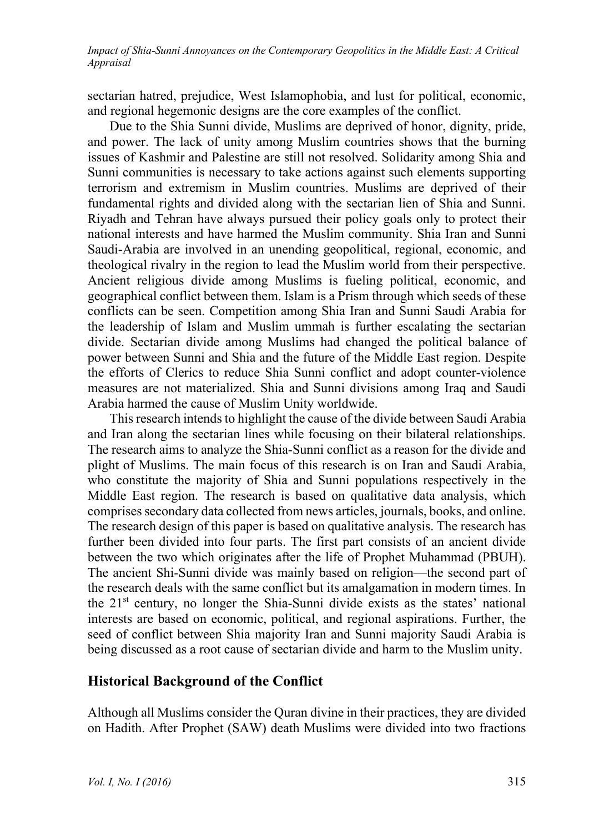sectarian hatred, prejudice, West Islamophobia, and lust for political, economic, and regional hegemonic designs are the core examples of the conflict.

Due to the Shia Sunni divide, Muslims are deprived of honor, dignity, pride, and power. The lack of unity among Muslim countries shows that the burning issues of Kashmir and Palestine are still not resolved. Solidarity among Shia and Sunni communities is necessary to take actions against such elements supporting terrorism and extremism in Muslim countries. Muslims are deprived of their fundamental rights and divided along with the sectarian lien of Shia and Sunni. Riyadh and Tehran have always pursued their policy goals only to protect their national interests and have harmed the Muslim community. Shia Iran and Sunni Saudi-Arabia are involved in an unending geopolitical, regional, economic, and theological rivalry in the region to lead the Muslim world from their perspective. Ancient religious divide among Muslims is fueling political, economic, and geographical conflict between them. Islam is a Prism through which seeds of these conflicts can be seen. Competition among Shia Iran and Sunni Saudi Arabia for the leadership of Islam and Muslim ummah is further escalating the sectarian divide. Sectarian divide among Muslims had changed the political balance of power between Sunni and Shia and the future of the Middle East region. Despite the efforts of Clerics to reduce Shia Sunni conflict and adopt counter-violence measures are not materialized. Shia and Sunni divisions among Iraq and Saudi Arabia harmed the cause of Muslim Unity worldwide.

This research intends to highlight the cause of the divide between Saudi Arabia and Iran along the sectarian lines while focusing on their bilateral relationships. The research aims to analyze the Shia-Sunni conflict as a reason for the divide and plight of Muslims. The main focus of this research is on Iran and Saudi Arabia, who constitute the majority of Shia and Sunni populations respectively in the Middle East region. The research is based on qualitative data analysis, which comprises secondary data collected from news articles, journals, books, and online. The research design of this paper is based on qualitative analysis. The research has further been divided into four parts. The first part consists of an ancient divide between the two which originates after the life of Prophet Muhammad (PBUH). The ancient Shi-Sunni divide was mainly based on religion—the second part of the research deals with the same conflict but its amalgamation in modern times. In the 21<sup>st</sup> century, no longer the Shia-Sunni divide exists as the states' national interests are based on economic, political, and regional aspirations. Further, the seed of conflict between Shia majority Iran and Sunni majority Saudi Arabia is being discussed as a root cause of sectarian divide and harm to the Muslim unity.

### **Historical Background of the Conflict**

Although all Muslims consider the Quran divine in their practices, they are divided on Hadith. After Prophet (SAW) death Muslims were divided into two fractions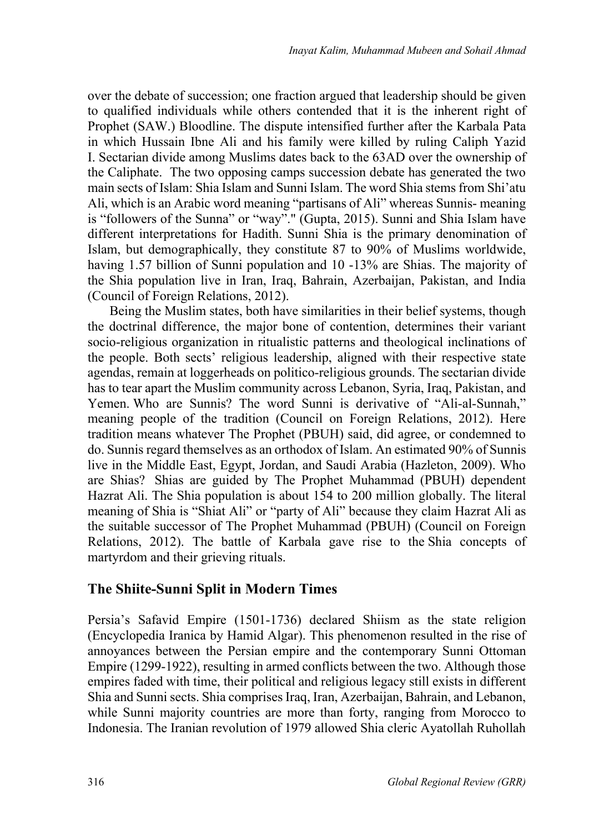over the debate of succession; one fraction argued that leadership should be given to qualified individuals while others contended that it is the inherent right of Prophet (SAW.) Bloodline. The dispute intensified further after the Karbala Pata in which Hussain Ibne Ali and his family were killed by ruling Caliph Yazid I. Sectarian divide among Muslims dates back to the 63AD over the ownership of the Caliphate. The two opposing camps succession debate has generated the two main sects of Islam: Shia Islam and Sunni Islam. The word Shia stems from Shi'atu Ali, which is an Arabic word meaning "partisans of Ali" whereas Sunnis- meaning is "followers of the Sunna" or "way"." (Gupta, 2015). Sunni and Shia Islam have different interpretations for Hadith. Sunni Shia is the primary denomination of Islam, but demographically, they constitute 87 to 90% of Muslims worldwide, having 1.57 billion of Sunni population and 10 -13% are Shias. The majority of the Shia population live in Iran, Iraq, Bahrain, Azerbaijan, Pakistan, and India (Council of Foreign Relations, 2012).

Being the Muslim states, both have similarities in their belief systems, though the doctrinal difference, the major bone of contention, determines their variant socio-religious organization in ritualistic patterns and theological inclinations of the people. Both sects' religious leadership, aligned with their respective state agendas, remain at loggerheads on politico-religious grounds. The sectarian divide has to tear apart the Muslim community across Lebanon, Syria, Iraq, Pakistan, and Yemen. Who are Sunnis? The word Sunni is derivative of "Ali-al-Sunnah," meaning people of the tradition (Council on Foreign Relations, 2012). Here tradition means whatever The Prophet (PBUH) said, did agree, or condemned to do. Sunnis regard themselves as an orthodox of Islam. An estimated 90% of Sunnis live in the Middle East, Egypt, Jordan, and Saudi Arabia (Hazleton, 2009). Who are Shias? Shias are guided by The Prophet Muhammad (PBUH) dependent Hazrat Ali. The Shia population is about 154 to 200 million globally. The literal meaning of Shia is "Shiat Ali" or "party of Ali" because they claim Hazrat Ali as the suitable successor of The Prophet Muhammad (PBUH) (Council on Foreign Relations, 2012). The battle of Karbala gave rise to the Shia concepts of martyrdom and their grieving rituals.

## **The Shiite-Sunni Split in Modern Times**

Persia's Safavid Empire (1501-1736) declared Shiism as the state religion (Encyclopedia Iranica by Hamid Algar). This phenomenon resulted in the rise of annoyances between the Persian empire and the contemporary Sunni Ottoman Empire (1299-1922), resulting in armed conflicts between the two. Although those empires faded with time, their political and religious legacy still exists in different Shia and Sunni sects. Shia comprises Iraq, Iran, Azerbaijan, Bahrain, and Lebanon, while Sunni majority countries are more than forty, ranging from Morocco to Indonesia. The Iranian revolution of 1979 allowed Shia cleric Ayatollah Ruhollah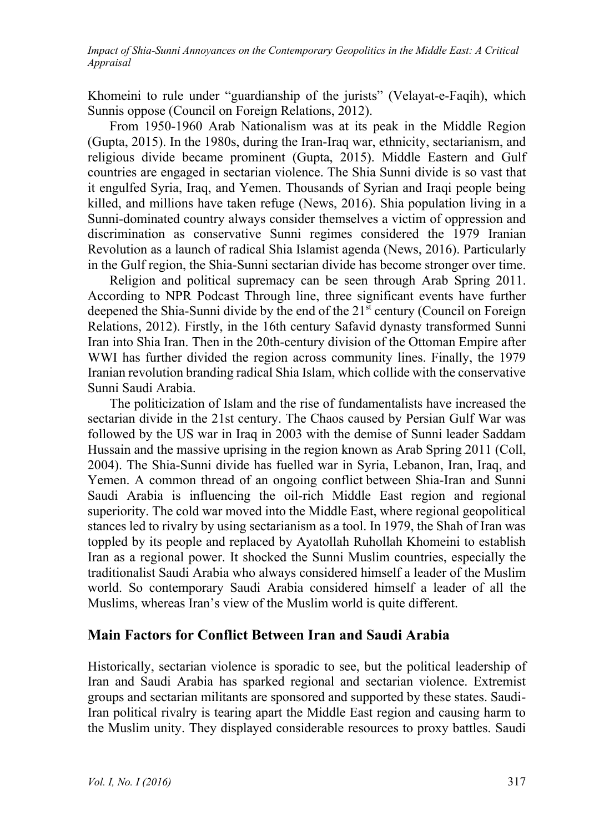Khomeini to rule under "guardianship of the jurists" (Velayat-e-Faqih), which Sunnis oppose (Council on Foreign Relations, 2012).

From 1950-1960 Arab Nationalism was at its peak in the Middle Region (Gupta, 2015). In the 1980s, during the Iran-Iraq war, ethnicity, sectarianism, and religious divide became prominent (Gupta, 2015). Middle Eastern and Gulf countries are engaged in sectarian violence. The Shia Sunni divide is so vast that it engulfed Syria, Iraq, and Yemen. Thousands of Syrian and Iraqi people being killed, and millions have taken refuge (News, 2016). Shia population living in a Sunni-dominated country always consider themselves a victim of oppression and discrimination as conservative Sunni regimes considered the 1979 Iranian Revolution as a launch of radical Shia Islamist agenda (News, 2016). Particularly in the Gulf region, the Shia-Sunni sectarian divide has become stronger over time.

Religion and political supremacy can be seen through Arab Spring 2011. According to NPR Podcast Through line, three significant events have further deepened the Shia-Sunni divide by the end of the 21<sup>st</sup> century (Council on Foreign Relations, 2012). Firstly, in the 16th century Safavid dynasty transformed Sunni Iran into Shia Iran. Then in the 20th-century division of the Ottoman Empire after WWI has further divided the region across community lines. Finally, the 1979 Iranian revolution branding radical Shia Islam, which collide with the conservative Sunni Saudi Arabia.

The politicization of Islam and the rise of fundamentalists have increased the sectarian divide in the 21st century. The Chaos caused by Persian Gulf War was followed by the US war in Iraq in 2003 with the demise of Sunni leader Saddam Hussain and the massive uprising in the region known as Arab Spring 2011 (Coll, 2004). The Shia-Sunni divide has fuelled war in Syria, Lebanon, Iran, Iraq, and Yemen. A common thread of an ongoing conflict between Shia-Iran and Sunni Saudi Arabia is influencing the oil-rich Middle East region and regional superiority. The cold war moved into the Middle East, where regional geopolitical stances led to rivalry by using sectarianism as a tool. In 1979, the Shah of Iran was toppled by its people and replaced by Ayatollah Ruhollah Khomeini to establish Iran as a regional power. It shocked the Sunni Muslim countries, especially the traditionalist Saudi Arabia who always considered himself a leader of the Muslim world. So contemporary Saudi Arabia considered himself a leader of all the Muslims, whereas Iran's view of the Muslim world is quite different.

### **Main Factors for Conflict Between Iran and Saudi Arabia**

Historically, sectarian violence is sporadic to see, but the political leadership of Iran and Saudi Arabia has sparked regional and sectarian violence. Extremist groups and sectarian militants are sponsored and supported by these states. Saudi-Iran political rivalry is tearing apart the Middle East region and causing harm to the Muslim unity. They displayed considerable resources to proxy battles. Saudi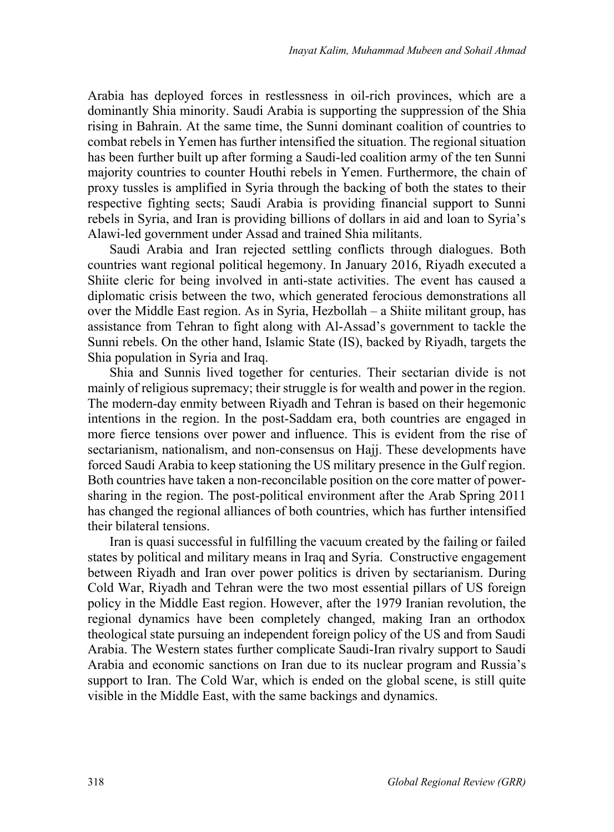Arabia has deployed forces in restlessness in oil-rich provinces, which are a dominantly Shia minority. Saudi Arabia is supporting the suppression of the Shia rising in Bahrain. At the same time, the Sunni dominant coalition of countries to combat rebels in Yemen has further intensified the situation. The regional situation has been further built up after forming a Saudi-led coalition army of the ten Sunni majority countries to counter Houthi rebels in Yemen. Furthermore, the chain of proxy tussles is amplified in Syria through the backing of both the states to their respective fighting sects; Saudi Arabia is providing financial support to Sunni rebels in Syria, and Iran is providing billions of dollars in aid and loan to Syria's Alawi-led government under Assad and trained Shia militants.

Saudi Arabia and Iran rejected settling conflicts through dialogues. Both countries want regional political hegemony. In January 2016, Riyadh executed a Shiite cleric for being involved in anti-state activities. The event has caused a diplomatic crisis between the two, which generated ferocious demonstrations all over the Middle East region. As in Syria, Hezbollah – a Shiite militant group, has assistance from Tehran to fight along with Al-Assad's government to tackle the Sunni rebels. On the other hand, Islamic State (IS), backed by Riyadh, targets the Shia population in Syria and Iraq.

Shia and Sunnis lived together for centuries. Their sectarian divide is not mainly of religious supremacy; their struggle is for wealth and power in the region. The modern-day enmity between Riyadh and Tehran is based on their hegemonic intentions in the region. In the post-Saddam era, both countries are engaged in more fierce tensions over power and influence. This is evident from the rise of sectarianism, nationalism, and non-consensus on Hajj. These developments have forced Saudi Arabia to keep stationing the US military presence in the Gulf region. Both countries have taken a non-reconcilable position on the core matter of powersharing in the region. The post-political environment after the Arab Spring 2011 has changed the regional alliances of both countries, which has further intensified their bilateral tensions.

Iran is quasi successful in fulfilling the vacuum created by the failing or failed states by political and military means in Iraq and Syria. Constructive engagement between Riyadh and Iran over power politics is driven by sectarianism. During Cold War, Riyadh and Tehran were the two most essential pillars of US foreign policy in the Middle East region. However, after the 1979 Iranian revolution, the regional dynamics have been completely changed, making Iran an orthodox theological state pursuing an independent foreign policy of the US and from Saudi Arabia. The Western states further complicate Saudi-Iran rivalry support to Saudi Arabia and economic sanctions on Iran due to its nuclear program and Russia's support to Iran. The Cold War, which is ended on the global scene, is still quite visible in the Middle East, with the same backings and dynamics.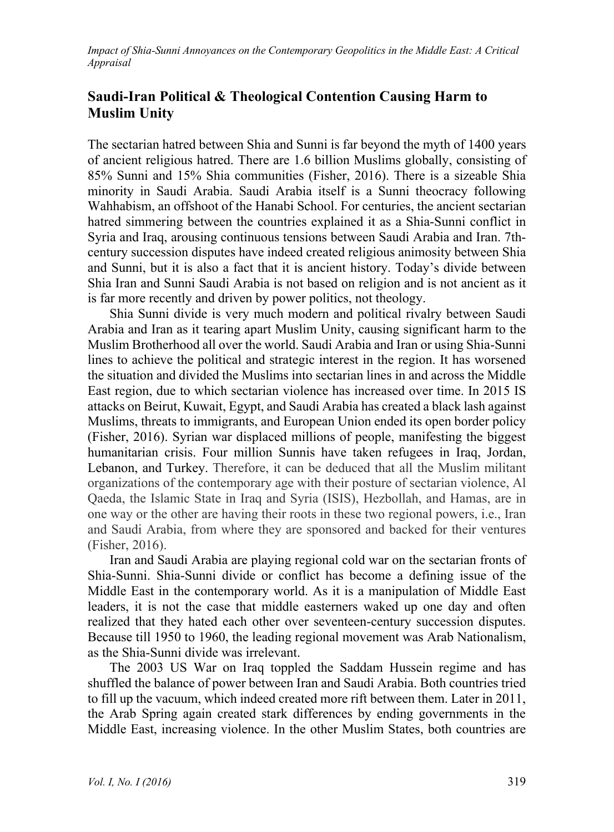## **Saudi-Iran Political & Theological Contention Causing Harm to Muslim Unity**

The sectarian hatred between Shia and Sunni is far beyond the myth of 1400 years of ancient religious hatred. There are 1.6 billion Muslims globally, consisting of 85% Sunni and 15% Shia communities (Fisher, 2016). There is a sizeable Shia minority in Saudi Arabia. Saudi Arabia itself is a Sunni theocracy following Wahhabism, an offshoot of the Hanabi School. For centuries, the ancient sectarian hatred simmering between the countries explained it as a Shia-Sunni conflict in Syria and Iraq, arousing continuous tensions between Saudi Arabia and Iran. 7thcentury succession disputes have indeed created religious animosity between Shia and Sunni, but it is also a fact that it is ancient history. Today's divide between Shia Iran and Sunni Saudi Arabia is not based on religion and is not ancient as it is far more recently and driven by power politics, not theology.

Shia Sunni divide is very much modern and political rivalry between Saudi Arabia and Iran as it tearing apart Muslim Unity, causing significant harm to the Muslim Brotherhood all over the world. Saudi Arabia and Iran or using Shia-Sunni lines to achieve the political and strategic interest in the region. It has worsened the situation and divided the Muslims into sectarian lines in and across the Middle East region, due to which sectarian violence has increased over time. In 2015 IS attacks on Beirut, Kuwait, Egypt, and Saudi Arabia has created a black lash against Muslims, threats to immigrants, and European Union ended its open border policy (Fisher, 2016). Syrian war displaced millions of people, manifesting the biggest humanitarian crisis. Four million Sunnis have taken refugees in Iraq, Jordan, Lebanon, and Turkey. Therefore, it can be deduced that all the Muslim militant organizations of the contemporary age with their posture of sectarian violence, Al Qaeda, the Islamic State in Iraq and Syria (ISIS), Hezbollah, and Hamas, are in one way or the other are having their roots in these two regional powers, i.e., Iran and Saudi Arabia, from where they are sponsored and backed for their ventures (Fisher, 2016).

Iran and Saudi Arabia are playing regional cold war on the sectarian fronts of Shia-Sunni. Shia-Sunni divide or conflict has become a defining issue of the Middle East in the contemporary world. As it is a manipulation of Middle East leaders, it is not the case that middle easterners waked up one day and often realized that they hated each other over seventeen-century succession disputes. Because till 1950 to 1960, the leading regional movement was Arab Nationalism, as the Shia-Sunni divide was irrelevant.

The 2003 US War on Iraq toppled the Saddam Hussein regime and has shuffled the balance of power between Iran and Saudi Arabia. Both countries tried to fill up the vacuum, which indeed created more rift between them. Later in 2011, the Arab Spring again created stark differences by ending governments in the Middle East, increasing violence. In the other Muslim States, both countries are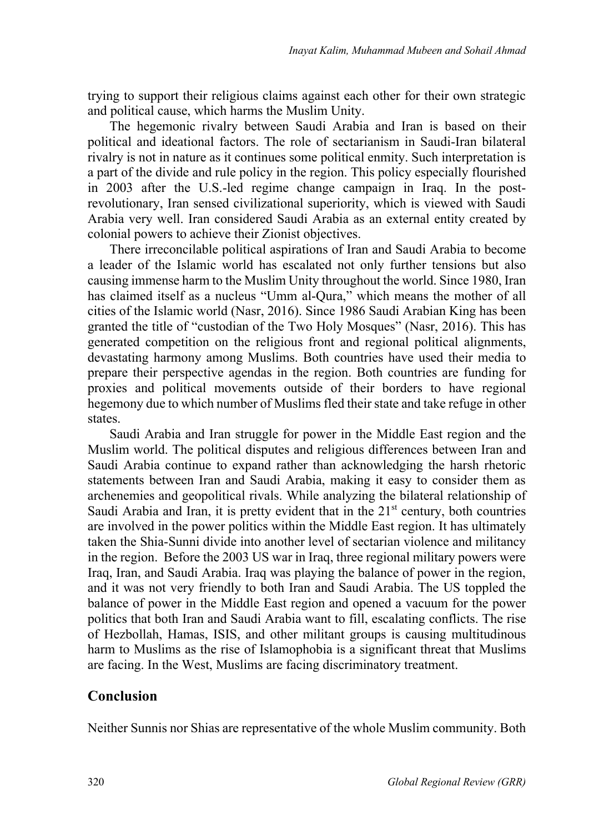trying to support their religious claims against each other for their own strategic and political cause, which harms the Muslim Unity.

The hegemonic rivalry between Saudi Arabia and Iran is based on their political and ideational factors. The role of sectarianism in Saudi-Iran bilateral rivalry is not in nature as it continues some political enmity. Such interpretation is a part of the divide and rule policy in the region. This policy especially flourished in 2003 after the U.S.-led regime change campaign in Iraq. In the postrevolutionary, Iran sensed civilizational superiority, which is viewed with Saudi Arabia very well. Iran considered Saudi Arabia as an external entity created by colonial powers to achieve their Zionist objectives.

There irreconcilable political aspirations of Iran and Saudi Arabia to become a leader of the Islamic world has escalated not only further tensions but also causing immense harm to the Muslim Unity throughout the world. Since 1980, Iran has claimed itself as a nucleus "Umm al-Qura," which means the mother of all cities of the Islamic world (Nasr, 2016). Since 1986 Saudi Arabian King has been granted the title of "custodian of the Two Holy Mosques" (Nasr, 2016). This has generated competition on the religious front and regional political alignments, devastating harmony among Muslims. Both countries have used their media to prepare their perspective agendas in the region. Both countries are funding for proxies and political movements outside of their borders to have regional hegemony due to which number of Muslims fled their state and take refuge in other states.

Saudi Arabia and Iran struggle for power in the Middle East region and the Muslim world. The political disputes and religious differences between Iran and Saudi Arabia continue to expand rather than acknowledging the harsh rhetoric statements between Iran and Saudi Arabia, making it easy to consider them as archenemies and geopolitical rivals. While analyzing the bilateral relationship of Saudi Arabia and Iran, it is pretty evident that in the  $21<sup>st</sup>$  century, both countries are involved in the power politics within the Middle East region. It has ultimately taken the Shia-Sunni divide into another level of sectarian violence and militancy in the region. Before the 2003 US war in Iraq, three regional military powers were Iraq, Iran, and Saudi Arabia. Iraq was playing the balance of power in the region, and it was not very friendly to both Iran and Saudi Arabia. The US toppled the balance of power in the Middle East region and opened a vacuum for the power politics that both Iran and Saudi Arabia want to fill, escalating conflicts. The rise of Hezbollah, Hamas, ISIS, and other militant groups is causing multitudinous harm to Muslims as the rise of Islamophobia is a significant threat that Muslims are facing. In the West, Muslims are facing discriminatory treatment.

### **Conclusion**

Neither Sunnis nor Shias are representative of the whole Muslim community. Both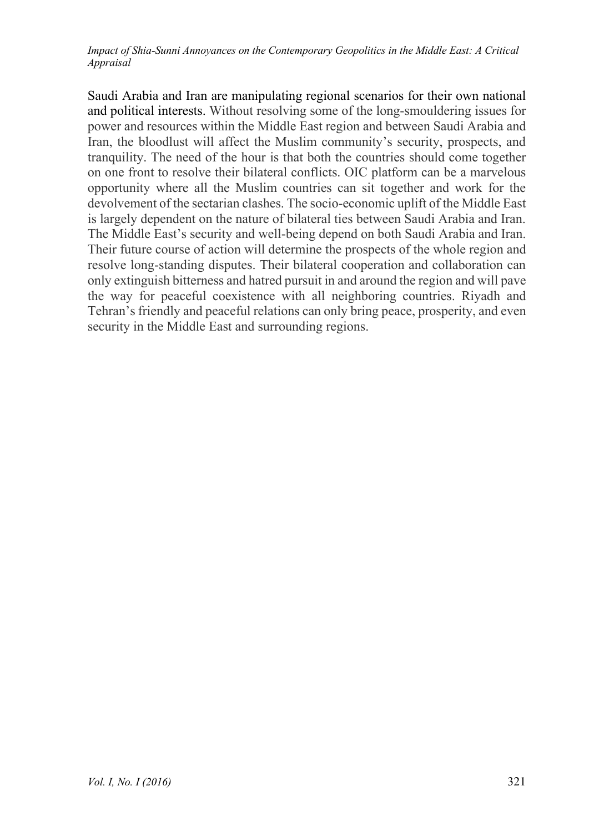Saudi Arabia and Iran are manipulating regional scenarios for their own national and political interests. Without resolving some of the long-smouldering issues for power and resources within the Middle East region and between Saudi Arabia and Iran, the bloodlust will affect the Muslim community's security, prospects, and tranquility. The need of the hour is that both the countries should come together on one front to resolve their bilateral conflicts. OIC platform can be a marvelous opportunity where all the Muslim countries can sit together and work for the devolvement of the sectarian clashes. The socio-economic uplift of the Middle East is largely dependent on the nature of bilateral ties between Saudi Arabia and Iran. The Middle East's security and well-being depend on both Saudi Arabia and Iran. Their future course of action will determine the prospects of the whole region and resolve long-standing disputes. Their bilateral cooperation and collaboration can only extinguish bitterness and hatred pursuit in and around the region and will pave the way for peaceful coexistence with all neighboring countries. Riyadh and Tehran's friendly and peaceful relations can only bring peace, prosperity, and even security in the Middle East and surrounding regions.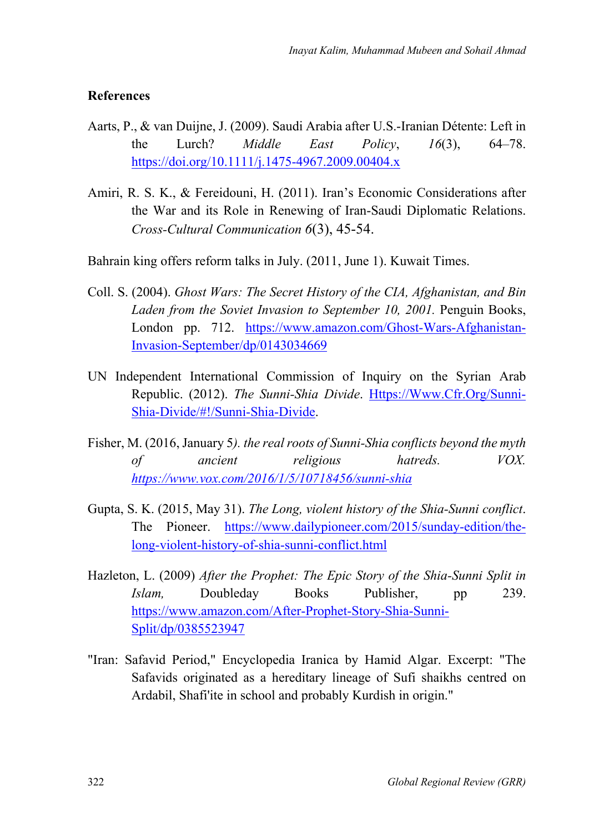#### **References**

- Aarts, P., & van Duijne, J. (2009). Saudi Arabia after U.S.-Iranian Détente: Left in the Lurch? *Middle East Policy*, *16*(3), 64–78. https://doi.org/10.1111/j.1475-4967.2009.00404.x
- Amiri, R. S. K., & Fereidouni, H. (2011). Iran's Economic Considerations after the War and its Role in Renewing of Iran-Saudi Diplomatic Relations. *Cross-Cultural Communication 6*(3), 45-54.
- Bahrain king offers reform talks in July. (2011, June 1). Kuwait Times.
- Coll. S. (2004). *Ghost Wars: The Secret History of the CIA, Afghanistan, and Bin Laden from the Soviet Invasion to September 10, 2001.* Penguin Books, London pp. 712. https://www.amazon.com/Ghost-Wars-Afghanistan-Invasion-September/dp/0143034669
- UN Independent International Commission of Inquiry on the Syrian Arab Republic. (2012). *The Sunni-Shia Divide*. Https://Www.Cfr.Org/Sunni-Shia-Divide/#!/Sunni-Shia-Divide.
- Fisher, M. (2016, January 5*). the real roots of Sunni-Shia conflicts beyond the myth of ancient religious hatreds. VOX. https://www.vox.com/2016/1/5/10718456/sunni-shia*
- Gupta, S. K. (2015, May 31). *The Long, violent history of the Shia-Sunni conflict*. The Pioneer. https://www.dailypioneer.com/2015/sunday-edition/thelong-violent-history-of-shia-sunni-conflict.html
- Hazleton, L. (2009) *After the Prophet: The Epic Story of the Shia-Sunni Split in Islam,* Doubleday Books Publisher, pp 239. https://www.amazon.com/After-Prophet-Story-Shia-Sunni-Split/dp/0385523947
- "Iran: Safavid Period," Encyclopedia Iranica by Hamid Algar. Excerpt: "The Safavids originated as a hereditary lineage of Sufi shaikhs centred on Ardabil, Shafi'ite in school and probably Kurdish in origin."